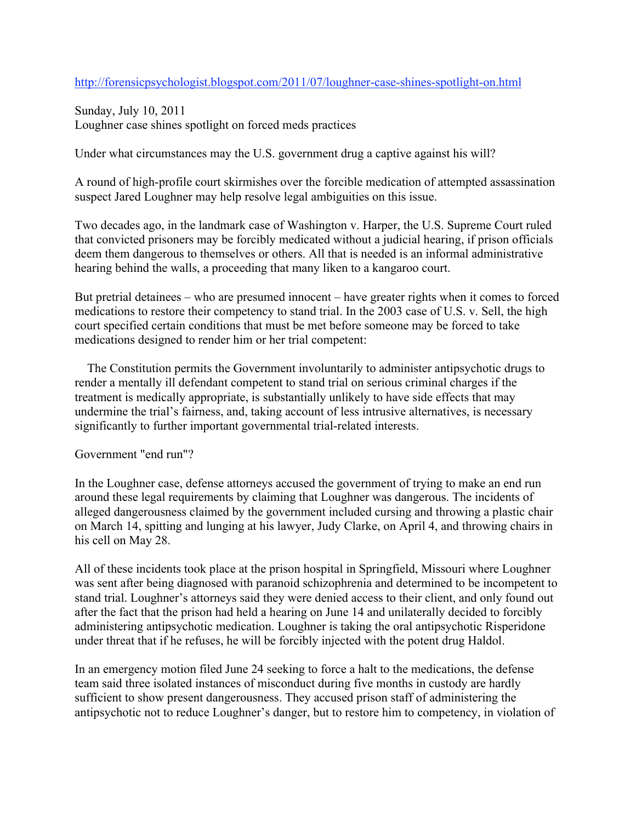http://forensicpsychologist.blogspot.com/2011/07/loughner-case-shines-spotlight-on.html

Sunday, July 10, 2011 Loughner case shines spotlight on forced meds practices

Under what circumstances may the U.S. government drug a captive against his will?

A round of high-profile court skirmishes over the forcible medication of attempted assassination suspect Jared Loughner may help resolve legal ambiguities on this issue.

Two decades ago, in the landmark case of Washington v. Harper, the U.S. Supreme Court ruled that convicted prisoners may be forcibly medicated without a judicial hearing, if prison officials deem them dangerous to themselves or others. All that is needed is an informal administrative hearing behind the walls, a proceeding that many liken to a kangaroo court.

But pretrial detainees – who are presumed innocent – have greater rights when it comes to forced medications to restore their competency to stand trial. In the 2003 case of U.S. v. Sell, the high court specified certain conditions that must be met before someone may be forced to take medications designed to render him or her trial competent:

 The Constitution permits the Government involuntarily to administer antipsychotic drugs to render a mentally ill defendant competent to stand trial on serious criminal charges if the treatment is medically appropriate, is substantially unlikely to have side effects that may undermine the trial's fairness, and, taking account of less intrusive alternatives, is necessary significantly to further important governmental trial-related interests.

## Government "end run"?

In the Loughner case, defense attorneys accused the government of trying to make an end run around these legal requirements by claiming that Loughner was dangerous. The incidents of alleged dangerousness claimed by the government included cursing and throwing a plastic chair on March 14, spitting and lunging at his lawyer, Judy Clarke, on April 4, and throwing chairs in his cell on May 28.

All of these incidents took place at the prison hospital in Springfield, Missouri where Loughner was sent after being diagnosed with paranoid schizophrenia and determined to be incompetent to stand trial. Loughner's attorneys said they were denied access to their client, and only found out after the fact that the prison had held a hearing on June 14 and unilaterally decided to forcibly administering antipsychotic medication. Loughner is taking the oral antipsychotic Risperidone under threat that if he refuses, he will be forcibly injected with the potent drug Haldol.

In an emergency motion filed June 24 seeking to force a halt to the medications, the defense team said three isolated instances of misconduct during five months in custody are hardly sufficient to show present dangerousness. They accused prison staff of administering the antipsychotic not to reduce Loughner's danger, but to restore him to competency, in violation of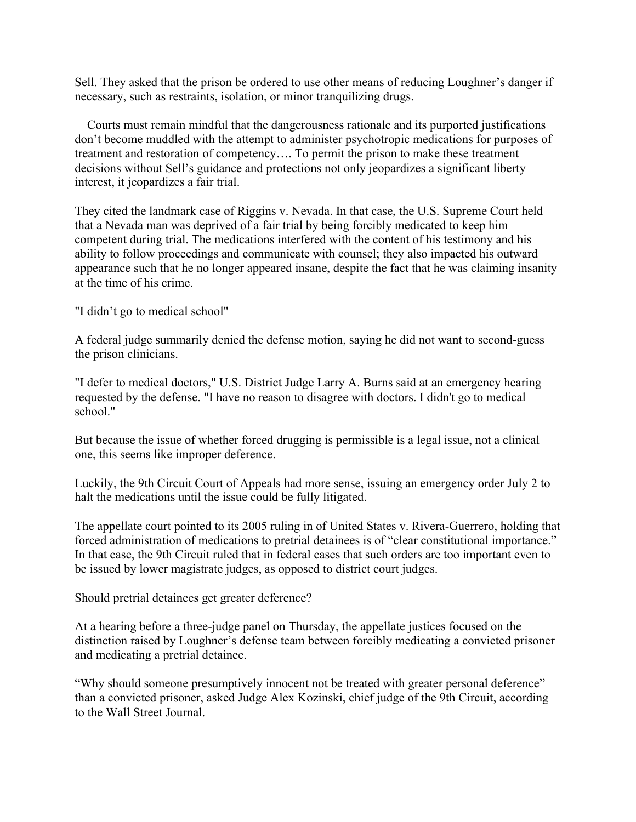Sell. They asked that the prison be ordered to use other means of reducing Loughner's danger if necessary, such as restraints, isolation, or minor tranquilizing drugs.

 Courts must remain mindful that the dangerousness rationale and its purported justifications don't become muddled with the attempt to administer psychotropic medications for purposes of treatment and restoration of competency…. To permit the prison to make these treatment decisions without Sell's guidance and protections not only jeopardizes a significant liberty interest, it jeopardizes a fair trial.

They cited the landmark case of Riggins v. Nevada. In that case, the U.S. Supreme Court held that a Nevada man was deprived of a fair trial by being forcibly medicated to keep him competent during trial. The medications interfered with the content of his testimony and his ability to follow proceedings and communicate with counsel; they also impacted his outward appearance such that he no longer appeared insane, despite the fact that he was claiming insanity at the time of his crime.

"I didn't go to medical school"

A federal judge summarily denied the defense motion, saying he did not want to second-guess the prison clinicians.

"I defer to medical doctors," U.S. District Judge Larry A. Burns said at an emergency hearing requested by the defense. "I have no reason to disagree with doctors. I didn't go to medical school."

But because the issue of whether forced drugging is permissible is a legal issue, not a clinical one, this seems like improper deference.

Luckily, the 9th Circuit Court of Appeals had more sense, issuing an emergency order July 2 to halt the medications until the issue could be fully litigated.

The appellate court pointed to its 2005 ruling in of United States v. Rivera-Guerrero, holding that forced administration of medications to pretrial detainees is of "clear constitutional importance." In that case, the 9th Circuit ruled that in federal cases that such orders are too important even to be issued by lower magistrate judges, as opposed to district court judges.

Should pretrial detainees get greater deference?

At a hearing before a three-judge panel on Thursday, the appellate justices focused on the distinction raised by Loughner's defense team between forcibly medicating a convicted prisoner and medicating a pretrial detainee.

"Why should someone presumptively innocent not be treated with greater personal deference" than a convicted prisoner, asked Judge Alex Kozinski, chief judge of the 9th Circuit, according to the Wall Street Journal.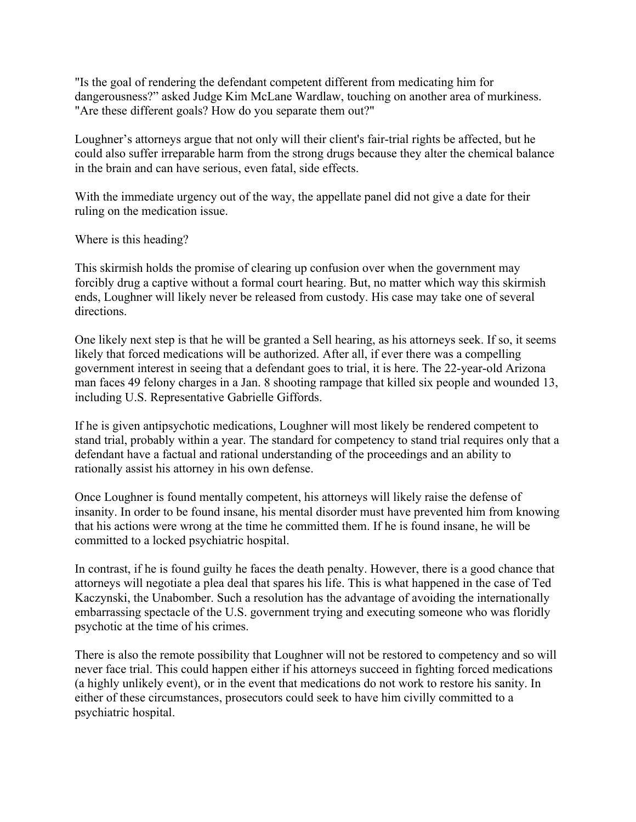"Is the goal of rendering the defendant competent different from medicating him for dangerousness?" asked Judge Kim McLane Wardlaw, touching on another area of murkiness. "Are these different goals? How do you separate them out?"

Loughner's attorneys argue that not only will their client's fair-trial rights be affected, but he could also suffer irreparable harm from the strong drugs because they alter the chemical balance in the brain and can have serious, even fatal, side effects.

With the immediate urgency out of the way, the appellate panel did not give a date for their ruling on the medication issue.

Where is this heading?

This skirmish holds the promise of clearing up confusion over when the government may forcibly drug a captive without a formal court hearing. But, no matter which way this skirmish ends, Loughner will likely never be released from custody. His case may take one of several directions.

One likely next step is that he will be granted a Sell hearing, as his attorneys seek. If so, it seems likely that forced medications will be authorized. After all, if ever there was a compelling government interest in seeing that a defendant goes to trial, it is here. The 22-year-old Arizona man faces 49 felony charges in a Jan. 8 shooting rampage that killed six people and wounded 13, including U.S. Representative Gabrielle Giffords.

If he is given antipsychotic medications, Loughner will most likely be rendered competent to stand trial, probably within a year. The standard for competency to stand trial requires only that a defendant have a factual and rational understanding of the proceedings and an ability to rationally assist his attorney in his own defense.

Once Loughner is found mentally competent, his attorneys will likely raise the defense of insanity. In order to be found insane, his mental disorder must have prevented him from knowing that his actions were wrong at the time he committed them. If he is found insane, he will be committed to a locked psychiatric hospital.

In contrast, if he is found guilty he faces the death penalty. However, there is a good chance that attorneys will negotiate a plea deal that spares his life. This is what happened in the case of Ted Kaczynski, the Unabomber. Such a resolution has the advantage of avoiding the internationally embarrassing spectacle of the U.S. government trying and executing someone who was floridly psychotic at the time of his crimes.

There is also the remote possibility that Loughner will not be restored to competency and so will never face trial. This could happen either if his attorneys succeed in fighting forced medications (a highly unlikely event), or in the event that medications do not work to restore his sanity. In either of these circumstances, prosecutors could seek to have him civilly committed to a psychiatric hospital.